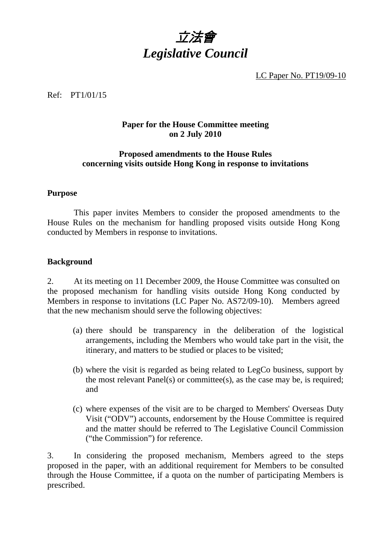

LC Paper No. PT19/09-10

### Ref: PT1/01/15

### **Paper for the House Committee meeting on 2 July 2010**

### **Proposed amendments to the House Rules concerning visits outside Hong Kong in response to invitations**

### **Purpose**

 This paper invites Members to consider the proposed amendments to the House Rules on the mechanism for handling proposed visits outside Hong Kong conducted by Members in response to invitations.

#### **Background**

2. At its meeting on 11 December 2009, the House Committee was consulted on the proposed mechanism for handling visits outside Hong Kong conducted by Members in response to invitations (LC Paper No. AS72/09-10). Members agreed that the new mechanism should serve the following objectives:

- (a) there should be transparency in the deliberation of the logistical arrangements, including the Members who would take part in the visit, the itinerary, and matters to be studied or places to be visited;
- (b) where the visit is regarded as being related to LegCo business, support by the most relevant Panel(s) or committee(s), as the case may be, is required; and
- (c) where expenses of the visit are to be charged to Members' Overseas Duty Visit ("ODV") accounts, endorsement by the House Committee is required and the matter should be referred to The Legislative Council Commission ("the Commission") for reference.

3. In considering the proposed mechanism, Members agreed to the steps proposed in the paper, with an additional requirement for Members to be consulted through the House Committee, if a quota on the number of participating Members is prescribed.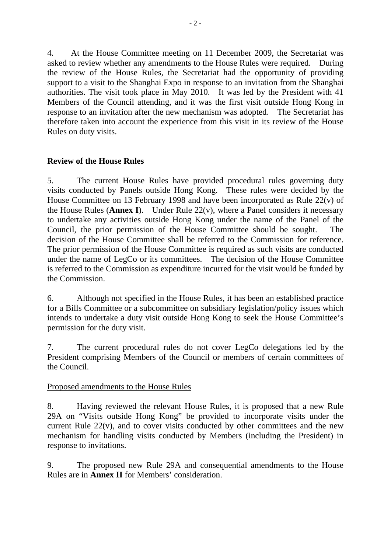4. At the House Committee meeting on 11 December 2009, the Secretariat was asked to review whether any amendments to the House Rules were required. During the review of the House Rules, the Secretariat had the opportunity of providing support to a visit to the Shanghai Expo in response to an invitation from the Shanghai authorities. The visit took place in May 2010. It was led by the President with 41 Members of the Council attending, and it was the first visit outside Hong Kong in response to an invitation after the new mechanism was adopted. The Secretariat has therefore taken into account the experience from this visit in its review of the House Rules on duty visits.

## **Review of the House Rules**

5. The current House Rules have provided procedural rules governing duty visits conducted by Panels outside Hong Kong. These rules were decided by the House Committee on 13 February 1998 and have been incorporated as Rule 22(v) of the House Rules (**Annex I**). Under Rule 22(v), where a Panel considers it necessary to undertake any activities outside Hong Kong under the name of the Panel of the Council, the prior permission of the House Committee should be sought. The decision of the House Committee shall be referred to the Commission for reference. The prior permission of the House Committee is required as such visits are conducted under the name of LegCo or its committees. The decision of the House Committee is referred to the Commission as expenditure incurred for the visit would be funded by the Commission.

6. Although not specified in the House Rules, it has been an established practice for a Bills Committee or a subcommittee on subsidiary legislation/policy issues which intends to undertake a duty visit outside Hong Kong to seek the House Committee's permission for the duty visit.

7. The current procedural rules do not cover LegCo delegations led by the President comprising Members of the Council or members of certain committees of the Council.

## Proposed amendments to the House Rules

8. Having reviewed the relevant House Rules, it is proposed that a new Rule 29A on "Visits outside Hong Kong" be provided to incorporate visits under the current Rule 22(v), and to cover visits conducted by other committees and the new mechanism for handling visits conducted by Members (including the President) in response to invitations.

9. The proposed new Rule 29A and consequential amendments to the House Rules are in **Annex II** for Members' consideration.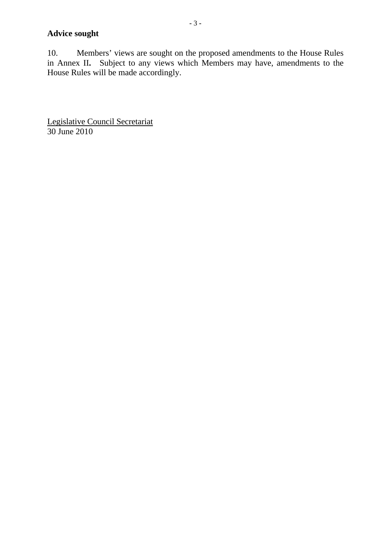# **Advice sought**

10. Members' views are sought on the proposed amendments to the House Rules in Annex II**.** Subject to any views which Members may have, amendments to the House Rules will be made accordingly.

Legislative Council Secretariat 30 June 2010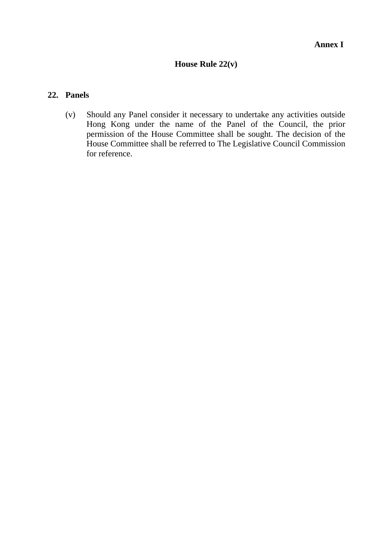# **House Rule 22(v)**

### **22. Panels**

(v) Should any Panel consider it necessary to undertake any activities outside Hong Kong under the name of the Panel of the Council, the prior permission of the House Committee shall be sought. The decision of the House Committee shall be referred to The Legislative Council Commission for reference.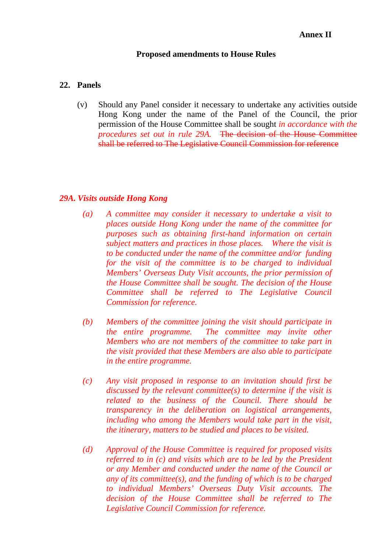#### **Proposed amendments to House Rules**

### **22. Panels**

(v) Should any Panel consider it necessary to undertake any activities outside Hong Kong under the name of the Panel of the Council, the prior permission of the House Committee shall be sought *in accordance with the procedures set out in rule* 29A. The decision of the House Committee shall be referred to The Legislative Council Commission for reference

### *29A. Visits outside Hong Kong*

- *(a) A committee may consider it necessary to undertake a visit to places outside Hong Kong under the name of the committee for purposes such as obtaining first-hand information on certain subject matters and practices in those places. Where the visit is to be conducted under the name of the committee and/or funding for the visit of the committee is to be charged to individual Members' Overseas Duty Visit accounts, the prior permission of the House Committee shall be sought. The decision of the House Committee shall be referred to The Legislative Council Commission for reference.*
- *(b) Members of the committee joining the visit should participate in the entire programme. The committee may invite other Members who are not members of the committee to take part in the visit provided that these Members are also able to participate in the entire programme.*
- *(c) Any visit proposed in response to an invitation should first be discussed by the relevant committee(s) to determine if the visit is related to the business of the Council. There should be transparency in the deliberation on logistical arrangements, including who among the Members would take part in the visit, the itinerary, matters to be studied and places to be visited.*
- *(d) Approval of the House Committee is required for proposed visits referred to in (c) and visits which are to be led by the President or any Member and conducted under the name of the Council or any of its committee(s), and the funding of which is to be charged to individual Members' Overseas Duty Visit accounts. The decision of the House Committee shall be referred to The Legislative Council Commission for reference.*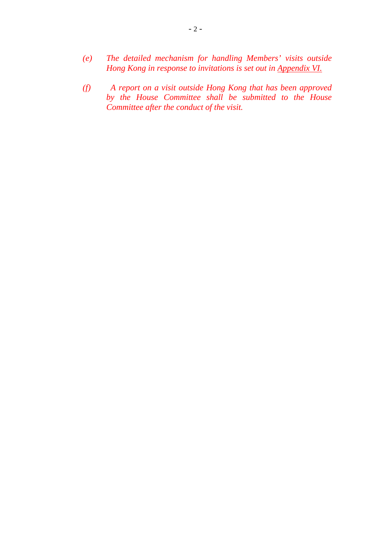- *(e) The detailed mechanism for handling Members' visits outside Hong Kong in response to invitations is set out in Appendix VI.*
- *(f) A report on a visit outside Hong Kong that has been approved by the House Committee shall be submitted to the House Committee after the conduct of the visit.*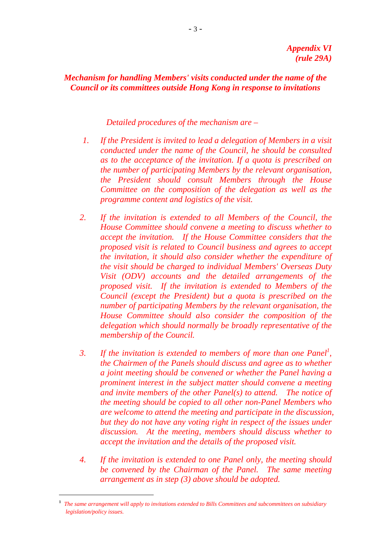*Mechanism for handling Members' visits conducted under the name of the Council or its committees outside Hong Kong in response to invitations* 

 *Detailed procedures of the mechanism are –* 

- *1. If the President is invited to lead a delegation of Members in a visit conducted under the name of the Council, he should be consulted as to the acceptance of the invitation. If a quota is prescribed on the number of participating Members by the relevant organisation, the President should consult Members through the House Committee on the composition of the delegation as well as the programme content and logistics of the visit.*
- *2. If the invitation is extended to all Members of the Council, the House Committee should convene a meeting to discuss whether to accept the invitation. If the House Committee considers that the proposed visit is related to Council business and agrees to accept the invitation, it should also consider whether the expenditure of the visit should be charged to individual Members' Overseas Duty Visit (ODV) accounts and the detailed arrangements of the proposed visit. If the invitation is extended to Members of the Council (except the President) but a quota is prescribed on the number of participating Members by the relevant organisation, the House Committee should also consider the composition of the delegation which should normally be broadly representative of the membership of the Council.*
- 3. If the invitation is extended to members of more than one Panel<sup>1</sup>, *the Chairmen of the Panels should discuss and agree as to whether a joint meeting should be convened or whether the Panel having a prominent interest in the subject matter should convene a meeting and invite members of the other Panel(s) to attend. The notice of the meeting should be copied to all other non-Panel Members who are welcome to attend the meeting and participate in the discussion, but they do not have any voting right in respect of the issues under discussion. At the meeting, members should discuss whether to accept the invitation and the details of the proposed visit.*
- *4. If the invitation is extended to one Panel only, the meeting should be convened by the Chairman of the Panel. The same meeting arrangement as in step (3) above should be adopted.*

 <sup>1</sup> *The same arrangement will apply to invitations extended to Bills Committees and subcommittees on subsidiary legislation/policy issues.*